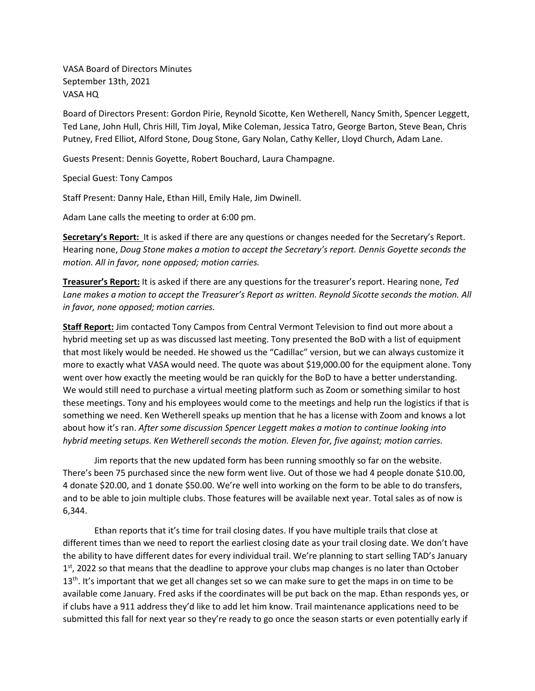VASA Board of Directors Minutes September 13th, 2021 VASA HQ

Board of Directors Present: Gordon Pirie, Reynold Sicotte, Ken Wetherell, Nancy Smith, Spencer Leggett, Ted Lane, John Hull, Chris Hill, Tim Joyal, Mike Coleman, Jessica Tatro, George Barton, Steve Bean, Chris Putney, Fred Elliot, Alford Stone, Doug Stone, Gary Nolan, Cathy Keller, Lloyd Church, Adam Lane.

Guests Present: Dennis Goyette, Robert Bouchard, Laura Champagne.

Special Guest: Tony Campos

Staff Present: Danny Hale, Ethan Hill, Emily Hale, Jim Dwinell.

Adam Lane calls the meeting to order at 6:00 pm.

**Secretary's Report:** It is asked if there are any questions or changes needed for the Secretary's Report. Hearing none, *Doug Stone makes a motion to accept the Secretary's report. Dennis Goyette seconds the motion. All in favor, none opposed; motion carries.* 

**Treasurer's Report:** It is asked if there are any questions for the treasurer's report. Hearing none, *Ted Lane makes a motion to accept the Treasurer's Report as written. Reynold Sicotte seconds the motion. All in favor, none opposed; motion carries.* 

**Staff Report:** Jim contacted Tony Campos from Central Vermont Television to find out more about a hybrid meeting set up as was discussed last meeting. Tony presented the BoD with a list of equipment that most likely would be needed. He showed us the "Cadillac" version, but we can always customize it more to exactly what VASA would need. The quote was about \$19,000.00 for the equipment alone. Tony went over how exactly the meeting would be ran quickly for the BoD to have a better understanding. We would still need to purchase a virtual meeting platform such as Zoom or something similar to host these meetings. Tony and his employees would come to the meetings and help run the logistics if that is something we need. Ken Wetherell speaks up mention that he has a license with Zoom and knows a lot about how it's ran. *After some discussion Spencer Leggett makes a motion to continue looking into hybrid meeting setups. Ken Wetherell seconds the motion. Eleven for, five against; motion carries.*

Jim reports that the new updated form has been running smoothly so far on the website. There's been 75 purchased since the new form went live. Out of those we had 4 people donate \$10.00, 4 donate \$20.00, and 1 donate \$50.00. We're well into working on the form to be able to do transfers, and to be able to join multiple clubs. Those features will be available next year. Total sales as of now is 6,344.

Ethan reports that it's time for trail closing dates. If you have multiple trails that close at different times than we need to report the earliest closing date as your trail closing date. We don't have the ability to have different dates for every individual trail. We're planning to start selling TAD's January  $1<sup>st</sup>$ , 2022 so that means that the deadline to approve your clubs map changes is no later than October  $13<sup>th</sup>$ . It's important that we get all changes set so we can make sure to get the maps in on time to be available come January. Fred asks if the coordinates will be put back on the map. Ethan responds yes, or if clubs have a 911 address they'd like to add let him know. Trail maintenance applications need to be submitted this fall for next year so they're ready to go once the season starts or even potentially early if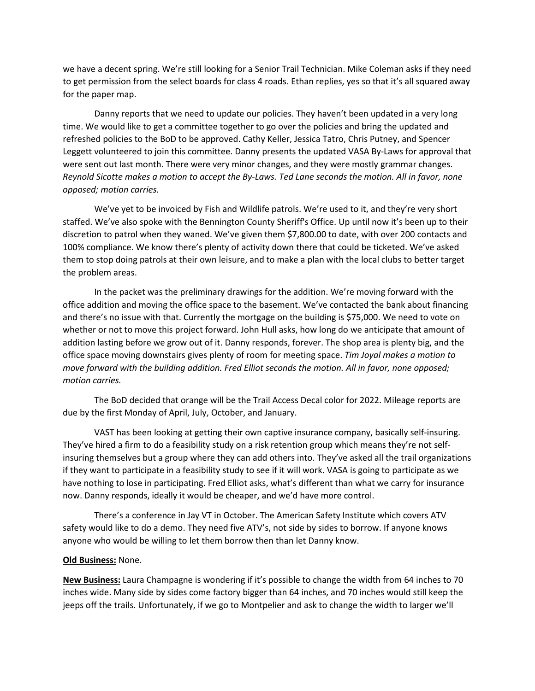we have a decent spring. We're still looking for a Senior Trail Technician. Mike Coleman asks if they need to get permission from the select boards for class 4 roads. Ethan replies, yes so that it's all squared away for the paper map.

Danny reports that we need to update our policies. They haven't been updated in a very long time. We would like to get a committee together to go over the policies and bring the updated and refreshed policies to the BoD to be approved. Cathy Keller, Jessica Tatro, Chris Putney, and Spencer Leggett volunteered to join this committee. Danny presents the updated VASA By-Laws for approval that were sent out last month. There were very minor changes, and they were mostly grammar changes. *Reynold Sicotte makes a motion to accept the By-Laws. Ted Lane seconds the motion. All in favor, none opposed; motion carries.*

We've yet to be invoiced by Fish and Wildlife patrols. We're used to it, and they're very short staffed. We've also spoke with the Bennington County Sheriff's Office. Up until now it's been up to their discretion to patrol when they waned. We've given them \$7,800.00 to date, with over 200 contacts and 100% compliance. We know there's plenty of activity down there that could be ticketed. We've asked them to stop doing patrols at their own leisure, and to make a plan with the local clubs to better target the problem areas.

In the packet was the preliminary drawings for the addition. We're moving forward with the office addition and moving the office space to the basement. We've contacted the bank about financing and there's no issue with that. Currently the mortgage on the building is \$75,000. We need to vote on whether or not to move this project forward. John Hull asks, how long do we anticipate that amount of addition lasting before we grow out of it. Danny responds, forever. The shop area is plenty big, and the office space moving downstairs gives plenty of room for meeting space. *Tim Joyal makes a motion to move forward with the building addition. Fred Elliot seconds the motion. All in favor, none opposed; motion carries.*

The BoD decided that orange will be the Trail Access Decal color for 2022. Mileage reports are due by the first Monday of April, July, October, and January.

VAST has been looking at getting their own captive insurance company, basically self-insuring. They've hired a firm to do a feasibility study on a risk retention group which means they're not selfinsuring themselves but a group where they can add others into. They've asked all the trail organizations if they want to participate in a feasibility study to see if it will work. VASA is going to participate as we have nothing to lose in participating. Fred Elliot asks, what's different than what we carry for insurance now. Danny responds, ideally it would be cheaper, and we'd have more control.

There's a conference in Jay VT in October. The American Safety Institute which covers ATV safety would like to do a demo. They need five ATV's, not side by sides to borrow. If anyone knows anyone who would be willing to let them borrow then than let Danny know.

## **Old Business:** None.

**New Business:** Laura Champagne is wondering if it's possible to change the width from 64 inches to 70 inches wide. Many side by sides come factory bigger than 64 inches, and 70 inches would still keep the jeeps off the trails. Unfortunately, if we go to Montpelier and ask to change the width to larger we'll